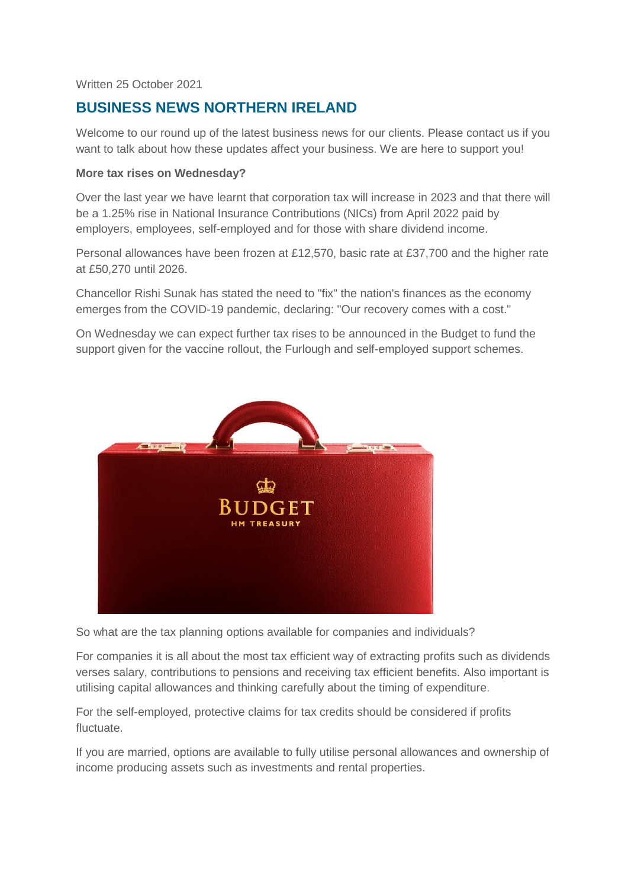Written 25 October 2021

# **BUSINESS NEWS NORTHERN IRELAND**

Welcome to our round up of the latest business news for our clients. Please contact us if you want to talk about how these updates affect your business. We are here to support you!

#### **More tax rises on Wednesday?**

Over the last year we have learnt that corporation tax will increase in 2023 and that there will be a 1.25% rise in National Insurance Contributions (NICs) from April 2022 paid by employers, employees, self-employed and for those with share dividend income.

Personal allowances have been frozen at £12,570, basic rate at £37,700 and the higher rate at £50,270 until 2026.

Chancellor Rishi Sunak has stated the need to "fix" the nation's finances as the economy emerges from the COVID-19 pandemic, declaring: "Our recovery comes with a cost."

On Wednesday we can expect further tax rises to be announced in the Budget to fund the support given for the vaccine rollout, the Furlough and self-employed support schemes.



So what are the tax planning options available for companies and individuals?

For companies it is all about the most tax efficient way of extracting profits such as dividends verses salary, contributions to pensions and receiving tax efficient benefits. Also important is utilising capital allowances and thinking carefully about the timing of expenditure.

For the self-employed, protective claims for tax credits should be considered if profits fluctuate.

If you are married, options are available to fully utilise personal allowances and ownership of income producing assets such as investments and rental properties.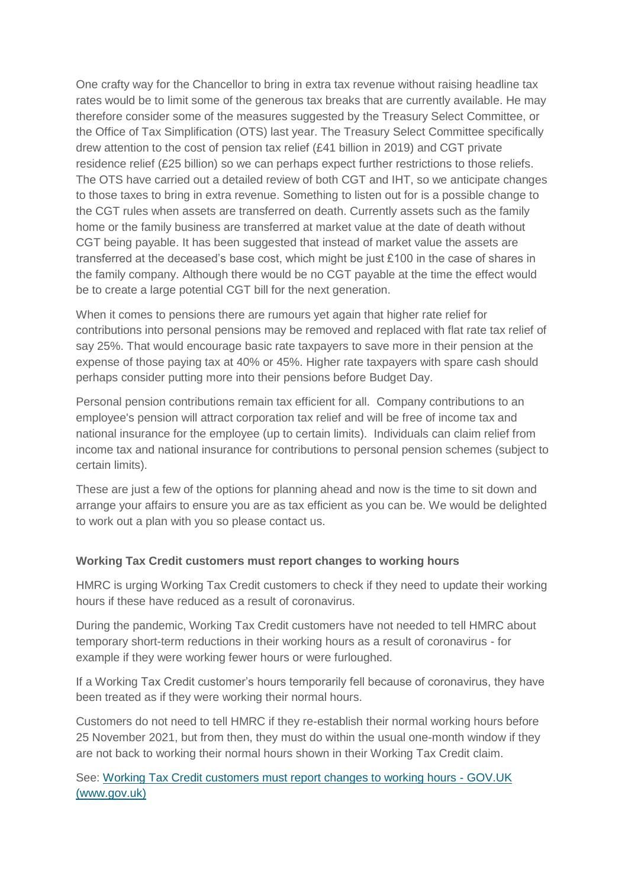One crafty way for the Chancellor to bring in extra tax revenue without raising headline tax rates would be to limit some of the generous tax breaks that are currently available. He may therefore consider some of the measures suggested by the Treasury Select Committee, or the Office of Tax Simplification (OTS) last year. The Treasury Select Committee specifically drew attention to the cost of pension tax relief (£41 billion in 2019) and CGT private residence relief (£25 billion) so we can perhaps expect further restrictions to those reliefs. The OTS have carried out a detailed review of both CGT and IHT, so we anticipate changes to those taxes to bring in extra revenue. Something to listen out for is a possible change to the CGT rules when assets are transferred on death. Currently assets such as the family home or the family business are transferred at market value at the date of death without CGT being payable. It has been suggested that instead of market value the assets are transferred at the deceased's base cost, which might be just £100 in the case of shares in the family company. Although there would be no CGT payable at the time the effect would be to create a large potential CGT bill for the next generation.

When it comes to pensions there are rumours yet again that higher rate relief for contributions into personal pensions may be removed and replaced with flat rate tax relief of say 25%. That would encourage basic rate taxpayers to save more in their pension at the expense of those paying tax at 40% or 45%. Higher rate taxpayers with spare cash should perhaps consider putting more into their pensions before Budget Day.

Personal pension contributions remain tax efficient for all. Company contributions to an employee's pension will attract corporation tax relief and will be free of income tax and national insurance for the employee (up to certain limits). Individuals can claim relief from income tax and national insurance for contributions to personal pension schemes (subject to certain limits).

These are just a few of the options for planning ahead and now is the time to sit down and arrange your affairs to ensure you are as tax efficient as you can be. We would be delighted to work out a plan with you so please contact us.

# **Working Tax Credit customers must report changes to working hours**

HMRC is urging Working Tax Credit customers to check if they need to update their working hours if these have reduced as a result of coronavirus.

During the pandemic, Working Tax Credit customers have not needed to tell HMRC about temporary short-term reductions in their working hours as a result of coronavirus - for example if they were working fewer hours or were furloughed.

If a Working Tax Credit customer's hours temporarily fell because of coronavirus, they have been treated as if they were working their normal hours.

Customers do not need to tell HMRC if they re-establish their normal working hours before 25 November 2021, but from then, they must do within the usual one-month window if they are not back to working their normal hours shown in their Working Tax Credit claim.

See: [Working Tax Credit customers must report changes to working hours -](https://www.gov.uk/government/news/working-tax-credit-customers-must-report-changes-to-working-hours) GOV.UK [\(www.gov.uk\)](https://www.gov.uk/government/news/working-tax-credit-customers-must-report-changes-to-working-hours)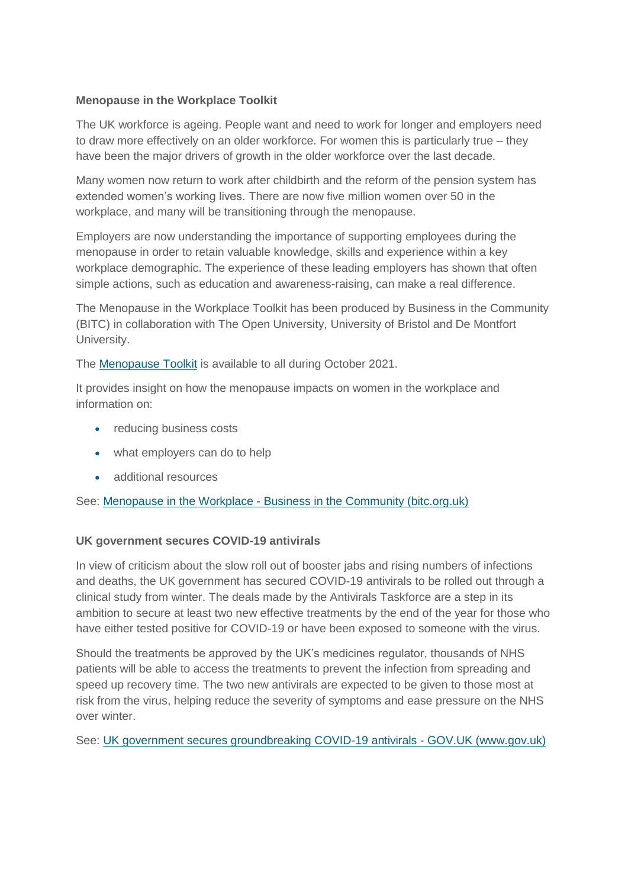## **Menopause in the Workplace Toolkit**

The UK workforce is ageing. People want and need to work for longer and employers need to draw more effectively on an older workforce. For women this is particularly true – they have been the major drivers of growth in the older workforce over the last decade.

Many women now return to work after childbirth and the reform of the pension system has extended women's working lives. There are now five million women over 50 in the workplace, and many will be transitioning through the menopause.

Employers are now understanding the importance of supporting employees during the menopause in order to retain valuable knowledge, skills and experience within a key workplace demographic. The experience of these leading employers has shown that often simple actions, such as education and awareness-raising, can make a real difference.

The Menopause in the Workplace Toolkit has been produced by Business in the Community (BITC) in collaboration with The Open University, University of Bristol and De Montfort University.

The [Menopause Toolkit](https://www.bitc.org.uk/toolkit/menopause-in-the-workplace/) is available to all during October 2021.

It provides insight on how the menopause impacts on women in the workplace and information on:

- reducing business costs
- what employers can do to help
- additional resources

See: Menopause in the Workplace - [Business in the Community \(bitc.org.uk\)](https://www.bitc.org.uk/toolkit/menopause-in-the-workplace/)

# **UK government secures COVID-19 antivirals**

In view of criticism about the slow roll out of booster jabs and rising numbers of infections and deaths, the UK government has secured COVID-19 antivirals to be rolled out through a clinical study from winter. The deals made by the Antivirals Taskforce are a step in its ambition to secure at least two new effective treatments by the end of the year for those who have either tested positive for COVID-19 or have been exposed to someone with the virus.

Should the treatments be approved by the UK's medicines regulator, thousands of NHS patients will be able to access the treatments to prevent the infection from spreading and speed up recovery time. The two new antivirals are expected to be given to those most at risk from the virus, helping reduce the severity of symptoms and ease pressure on the NHS over winter.

See: [UK government secures groundbreaking COVID-19 antivirals -](https://www.gov.uk/government/news/uk-government-secures-groundbreaking-covid-19-antivirals?utm_medium=email&utm_campaign=govuk-notifications&utm_source=9d9fb3e7-9420-44c1-bfee-11cd3b6db8f3&utm_content=daily) GOV.UK (www.gov.uk)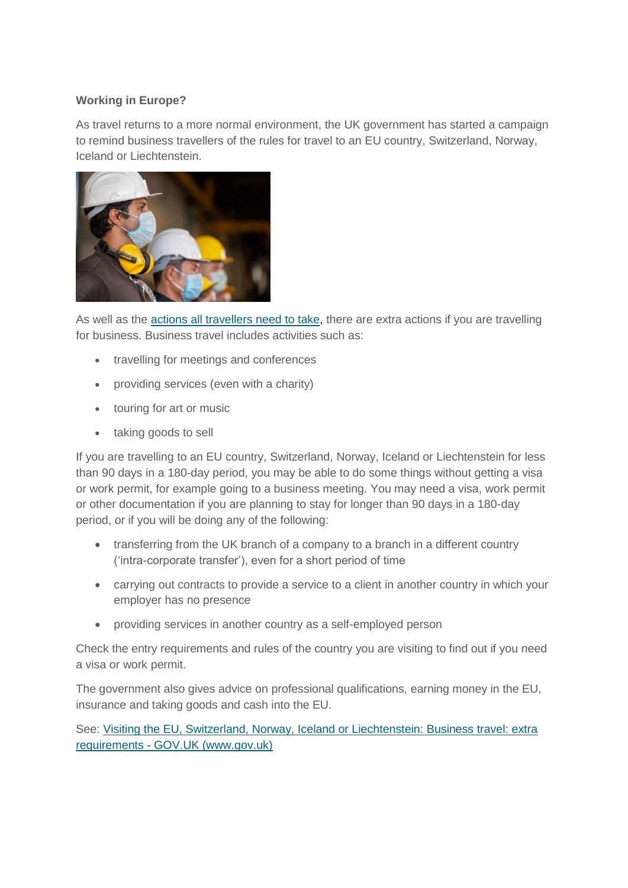# **Working in Europe?**

As travel returns to a more normal environment, the UK government has started a campaign to remind business travellers of the rules for travel to an EU country, Switzerland, Norway, Iceland or Liechtenstein.



As well as the [actions all travellers need to take,](https://www.gov.uk/visit-eu-switzerland-norway-iceland-liechtenstein/checks-for-all-travel) there are extra actions if you are travelling for business. Business travel includes activities such as:

- travelling for meetings and conferences
- providing services (even with a charity)
- touring for art or music
- taking goods to sell

If you are travelling to an EU country, Switzerland, Norway, Iceland or Liechtenstein for less than 90 days in a 180-day period, you may be able to do some things without getting a visa or work permit, for example going to a business meeting. You may need a visa, work permit or other documentation if you are planning to stay for longer than 90 days in a 180-day period, or if you will be doing any of the following:

- transferring from the UK branch of a company to a branch in a different country ('intra-corporate transfer'), even for a short period of time
- carrying out contracts to provide a service to a client in another country in which your employer has no presence
- providing services in another country as a self-employed person

Check the entry requirements and rules of the country you are visiting to find out if you need a visa or work permit.

The government also gives advice on professional qualifications, earning money in the EU, insurance and taking goods and cash into the EU.

See: [Visiting the EU, Switzerland, Norway, Iceland or Liechtenstein: Business travel: extra](https://www.gov.uk/visit-eu-switzerland-norway-iceland-liechtenstein/business-travel-extra-requirements)  requirements - [GOV.UK \(www.gov.uk\)](https://www.gov.uk/visit-eu-switzerland-norway-iceland-liechtenstein/business-travel-extra-requirements)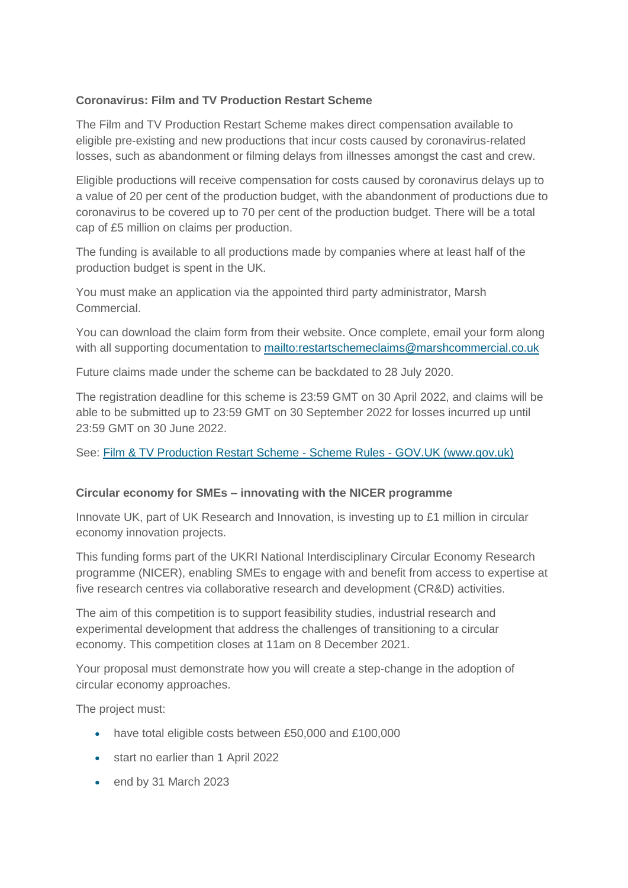# **Coronavirus: Film and TV Production Restart Scheme**

The Film and TV Production Restart Scheme makes direct compensation available to eligible pre-existing and new productions that incur costs caused by coronavirus-related losses, such as abandonment or filming delays from illnesses amongst the cast and crew.

Eligible productions will receive compensation for costs caused by coronavirus delays up to a value of 20 per cent of the production budget, with the abandonment of productions due to coronavirus to be covered up to 70 per cent of the production budget. There will be a total cap of £5 million on claims per production.

The funding is available to all productions made by companies where at least half of the production budget is spent in the UK.

You must make an application via the appointed third party administrator, Marsh Commercial.

You can download the claim form from their website. Once complete, email your form along with all supporting documentation to <mailto:restartschemeclaims@marshcommercial.co.uk>

Future claims made under the scheme can be backdated to 28 July 2020.

The registration deadline for this scheme is 23:59 GMT on 30 April 2022, and claims will be able to be submitted up to 23:59 GMT on 30 September 2022 for losses incurred up until 23:59 GMT on 30 June 2022.

See: [Film & TV Production Restart Scheme -](https://www.gov.uk/government/publications/film-tv-production-restart-scheme/film-tv-production-restart-scheme-draft-rules) Scheme Rules - GOV.UK (www.gov.uk)

#### **Circular economy for SMEs – innovating with the NICER programme**

Innovate UK, part of UK Research and Innovation, is investing up to £1 million in circular economy innovation projects.

This funding forms part of the UKRI National Interdisciplinary Circular Economy Research programme (NICER), enabling SMEs to engage with and benefit from access to expertise at five research centres via collaborative research and development (CR&D) activities.

The aim of this competition is to support feasibility studies, industrial research and experimental development that address the challenges of transitioning to a circular economy. This competition closes at 11am on 8 December 2021.

Your proposal must demonstrate how you will create a step-change in the adoption of circular economy approaches.

The project must:

- have total eligible costs between £50,000 and £100,000
- start no earlier than 1 April 2022
- end by 31 March 2023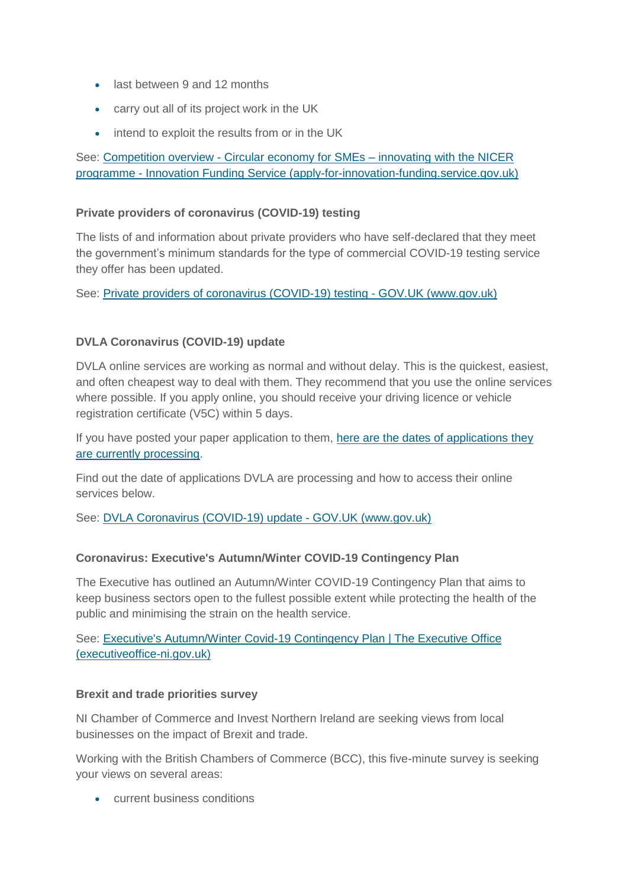- last between 9 and 12 months
- carry out all of its project work in the UK
- intend to exploit the results from or in the UK

See: Competition overview - [Circular economy for SMEs –](https://apply-for-innovation-funding.service.gov.uk/competition/1021/overview) innovating with the NICER programme - [Innovation Funding Service \(apply-for-innovation-funding.service.gov.uk\)](https://apply-for-innovation-funding.service.gov.uk/competition/1021/overview)

## **Private providers of coronavirus (COVID-19) testing**

The lists of and information about private providers who have self-declared that they meet the government's minimum standards for the type of commercial COVID-19 testing service they offer has been updated.

See: [Private providers of coronavirus \(COVID-19\) testing -](https://www.gov.uk/government/publications/list-of-private-providers-of-coronavirus-testing?utm_medium=email&utm_campaign=govuk-notifications&utm_source=15edd61c-afe1-4501-8a54-311d05cdb80f&utm_content=daily) GOV.UK (www.gov.uk)

# **DVLA Coronavirus (COVID-19) update**

DVLA online services are working as normal and without delay. This is the quickest, easiest, and often cheapest way to deal with them. They recommend that you use the online services where possible. If you apply online, you should receive your driving licence or vehicle registration certificate (V5C) within 5 days.

If you have posted your paper application to them, [here are the dates of applications they](https://www.gov.uk/guidance/dvla-coronavirus-covid-19-update?utm_medium=email&utm_campaign=govuk-notifications&utm_source=f1ff1494-46b3-4ed8-8091-26b1309817f4&utm_content=daily#processing-dates-for-paper-applications) [are currently processing.](https://www.gov.uk/guidance/dvla-coronavirus-covid-19-update?utm_medium=email&utm_campaign=govuk-notifications&utm_source=f1ff1494-46b3-4ed8-8091-26b1309817f4&utm_content=daily#processing-dates-for-paper-applications)

Find out the date of applications DVLA are processing and how to access their online services below.

See: [DVLA Coronavirus \(COVID-19\) update -](https://www.gov.uk/guidance/dvla-coronavirus-covid-19-update?utm_medium=email&utm_campaign=govuk-notifications&utm_source=f1ff1494-46b3-4ed8-8091-26b1309817f4&utm_content=daily) GOV.UK (www.gov.uk)

# **Coronavirus: Executive's Autumn/Winter COVID-19 Contingency Plan**

The Executive has outlined an Autumn/Winter COVID-19 Contingency Plan that aims to keep business sectors open to the fullest possible extent while protecting the health of the public and minimising the strain on the health service.

See: [Executive's Autumn/Winter Covid-19 Contingency Plan | The Executive Office](http://www.executiveoffice-ni.gov.uk/publications/executives-autumnwinter-covid-19-contingency-plan)  [\(executiveoffice-ni.gov.uk\)](http://www.executiveoffice-ni.gov.uk/publications/executives-autumnwinter-covid-19-contingency-plan)

#### **Brexit and trade priorities survey**

NI Chamber of Commerce and Invest Northern Ireland are seeking views from local businesses on the impact of Brexit and trade.

Working with the British Chambers of Commerce (BCC), this five-minute survey is seeking your views on several areas:

current business conditions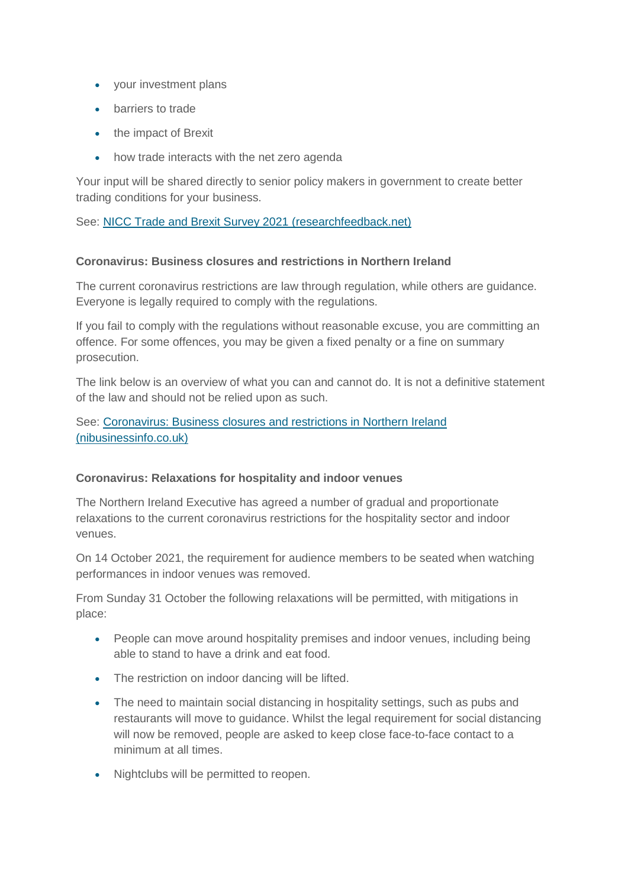- your investment plans
- barriers to trade
- the impact of Brexit
- how trade interacts with the net zero agenda

Your input will be shared directly to senior policy makers in government to create better trading conditions for your business.

See: [NICC Trade and Brexit Survey 2021 \(researchfeedback.net\)](https://pimr.researchfeedback.net/s.asp?k=163370895293)

## **Coronavirus: Business closures and restrictions in Northern Ireland**

The current coronavirus restrictions are law through regulation, while others are guidance. Everyone is legally required to comply with the regulations.

If you fail to comply with the regulations without reasonable excuse, you are committing an offence. For some offences, you may be given a fixed penalty or a fine on summary prosecution.

The link below is an overview of what you can and cannot do. It is not a definitive statement of the law and should not be relied upon as such.

See: [Coronavirus: Business closures and restrictions in Northern Ireland](https://www.nibusinessinfo.co.uk/content/coronavirus-business-closures-and-restrictions-northern-ireland)  [\(nibusinessinfo.co.uk\)](https://www.nibusinessinfo.co.uk/content/coronavirus-business-closures-and-restrictions-northern-ireland)

#### **Coronavirus: Relaxations for hospitality and indoor venues**

The Northern Ireland Executive has agreed a number of gradual and proportionate relaxations to the current coronavirus restrictions for the hospitality sector and indoor venues.

On 14 October 2021, the requirement for audience members to be seated when watching performances in indoor venues was removed.

From Sunday 31 October the following relaxations will be permitted, with mitigations in place:

- People can move around hospitality premises and indoor venues, including being able to stand to have a drink and eat food.
- The restriction on indoor dancing will be lifted.
- The need to maintain social distancing in hospitality settings, such as pubs and restaurants will move to guidance. Whilst the legal requirement for social distancing will now be removed, people are asked to keep close face-to-face contact to a minimum at all times.
- Nightclubs will be permitted to reopen.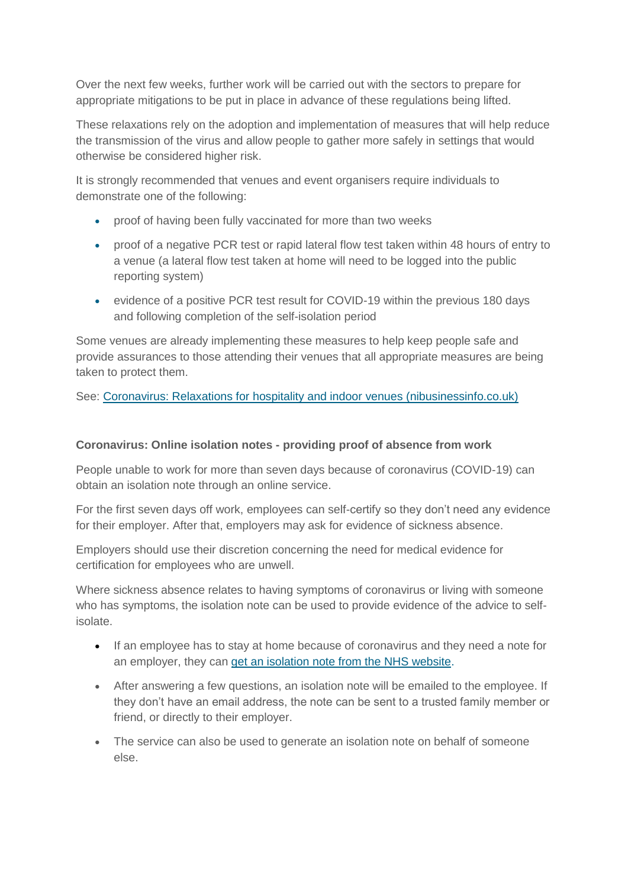Over the next few weeks, further work will be carried out with the sectors to prepare for appropriate mitigations to be put in place in advance of these regulations being lifted.

These relaxations rely on the adoption and implementation of measures that will help reduce the transmission of the virus and allow people to gather more safely in settings that would otherwise be considered higher risk.

It is strongly recommended that venues and event organisers require individuals to demonstrate one of the following:

- proof of having been fully vaccinated for more than two weeks
- proof of a negative PCR test or rapid lateral flow test taken within 48 hours of entry to a venue (a lateral flow test taken at home will need to be logged into the public reporting system)
- evidence of a positive PCR test result for COVID-19 within the previous 180 days and following completion of the self-isolation period

Some venues are already implementing these measures to help keep people safe and provide assurances to those attending their venues that all appropriate measures are being taken to protect them.

See: [Coronavirus: Relaxations for hospitality and indoor venues \(nibusinessinfo.co.uk\)](https://www.nibusinessinfo.co.uk/content/coronavirus-relaxations-hospitality-and-indoor-venues)

#### **Coronavirus: Online isolation notes - providing proof of absence from work**

People unable to work for more than seven days because of coronavirus (COVID-19) can obtain an isolation note through an online service.

For the first seven days off work, employees can self-certify so they don't need any evidence for their employer. After that, employers may ask for evidence of sickness absence.

Employers should use their discretion concerning the need for medical evidence for certification for employees who are unwell.

Where sickness absence relates to having symptoms of coronavirus or living with someone who has symptoms, the isolation note can be used to provide evidence of the advice to selfisolate.

- If an employee has to stay at home because of coronavirus and they need a note for an employer, they can [get an isolation note from the NHS website.](https://111.nhs.uk/isolation-note/)
- After answering a few questions, an isolation note will be emailed to the employee. If they don't have an email address, the note can be sent to a trusted family member or friend, or directly to their employer.
- The service can also be used to generate an isolation note on behalf of someone else.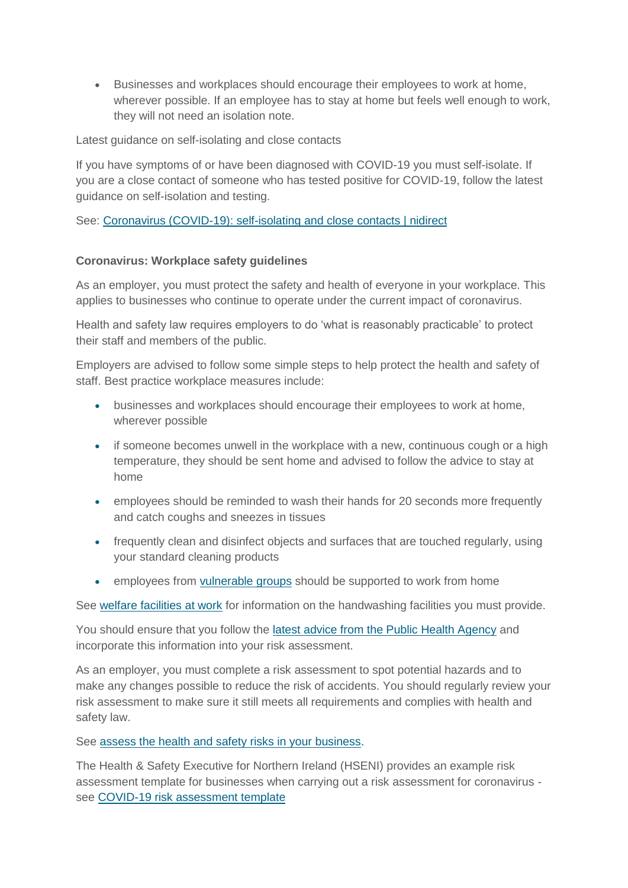Businesses and workplaces should encourage their employees to work at home, wherever possible. If an employee has to stay at home but feels well enough to work, they will not need an isolation note.

Latest guidance on self-isolating and close contacts

If you have symptoms of or have been diagnosed with COVID-19 you must self-isolate. If you are a close contact of someone who has tested positive for COVID-19, follow the latest guidance on self-isolation and testing.

See: [Coronavirus \(COVID-19\): self-isolating and close contacts | nidirect](https://www.nidirect.gov.uk/articles/coronavirus-covid-19-self-isolating-and-close-contacts)

# **Coronavirus: Workplace safety guidelines**

As an employer, you must protect the safety and health of everyone in your workplace. This applies to businesses who continue to operate under the current impact of coronavirus.

Health and safety law requires employers to do 'what is reasonably practicable' to protect their staff and members of the public.

Employers are advised to follow some simple steps to help protect the health and safety of staff. Best practice workplace measures include:

- businesses and workplaces should encourage their employees to work at home, wherever possible
- if someone becomes unwell in the workplace with a new, continuous cough or a high temperature, they should be sent home and advised to follow the advice to stay at home
- employees should be reminded to wash their hands for 20 seconds more frequently and catch coughs and sneezes in tissues
- frequently clean and disinfect objects and surfaces that are touched regularly, using your standard cleaning products
- **employees from [vulnerable groups](https://www.nhs.uk/conditions/coronavirus-covid-19/people-at-higher-risk/who-is-at-high-risk-from-coronavirus/) should be supported to work from home**

See [welfare facilities](https://www.nibusinessinfo.co.uk/node/17363) at work for information on the handwashing facilities you must provide.

You should ensure that you follow the [latest advice from the Public Health Agency](https://www.publichealth.hscni.net/) and incorporate this information into your risk assessment.

As an employer, you must complete a risk assessment to spot potential hazards and to make any changes possible to reduce the risk of accidents. You should regularly review your risk assessment to make sure it still meets all requirements and complies with health and safety law.

See [assess the health and safety risks in your business.](https://www.nibusinessinfo.co.uk/node/14102)

The Health & Safety Executive for Northern Ireland (HSENI) provides an example risk assessment template for businesses when carrying out a risk assessment for coronavirus see [COVID-19 risk assessment template](https://www.hseni.gov.uk/publications/example-covid-19-risk-assessment-template)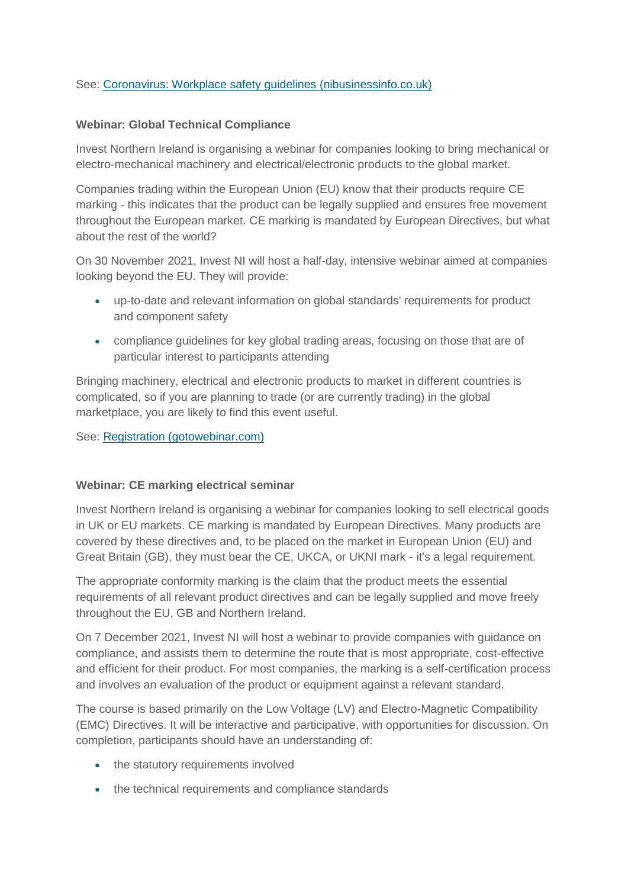## See: [Coronavirus: Workplace safety guidelines \(nibusinessinfo.co.uk\)](https://www.nibusinessinfo.co.uk/content/coronavirus-workplace-safety-guidelines)

#### **Webinar: Global Technical Compliance**

Invest Northern Ireland is organising a webinar for companies looking to bring mechanical or electro-mechanical machinery and electrical/electronic products to the global market.

Companies trading within the European Union (EU) know that their products require CE marking - this indicates that the product can be legally supplied and ensures free movement throughout the European market. CE marking is mandated by European Directives, but what about the rest of the world?

On 30 November 2021, Invest NI will host a half-day, intensive webinar aimed at companies looking beyond the EU. They will provide:

- up-to-date and relevant information on global standards' requirements for product and component safety
- compliance guidelines for key global trading areas, focusing on those that are of particular interest to participants attending

Bringing machinery, electrical and electronic products to market in different countries is complicated, so if you are planning to trade (or are currently trading) in the global marketplace, you are likely to find this event useful.

See: [Registration \(gotowebinar.com\)](https://register.gotowebinar.com/register/768655801009751566)

#### **Webinar: CE marking electrical seminar**

Invest Northern Ireland is organising a webinar for companies looking to sell electrical goods in UK or EU markets. CE marking is mandated by European Directives. Many products are covered by these directives and, to be placed on the market in European Union (EU) and Great Britain (GB), they must bear the CE, UKCA, or UKNI mark - it's a legal requirement.

The appropriate conformity marking is the claim that the product meets the essential requirements of all relevant product directives and can be legally supplied and move freely throughout the EU, GB and Northern Ireland.

On 7 December 2021, Invest NI will host a webinar to provide companies with guidance on compliance, and assists them to determine the route that is most appropriate, cost-effective and efficient for their product. For most companies, the marking is a self-certification process and involves an evaluation of the product or equipment against a relevant standard.

The course is based primarily on the Low Voltage (LV) and Electro-Magnetic Compatibility (EMC) Directives. It will be interactive and participative, with opportunities for discussion. On completion, participants should have an understanding of:

- the statutory requirements involved
- the technical requirements and compliance standards